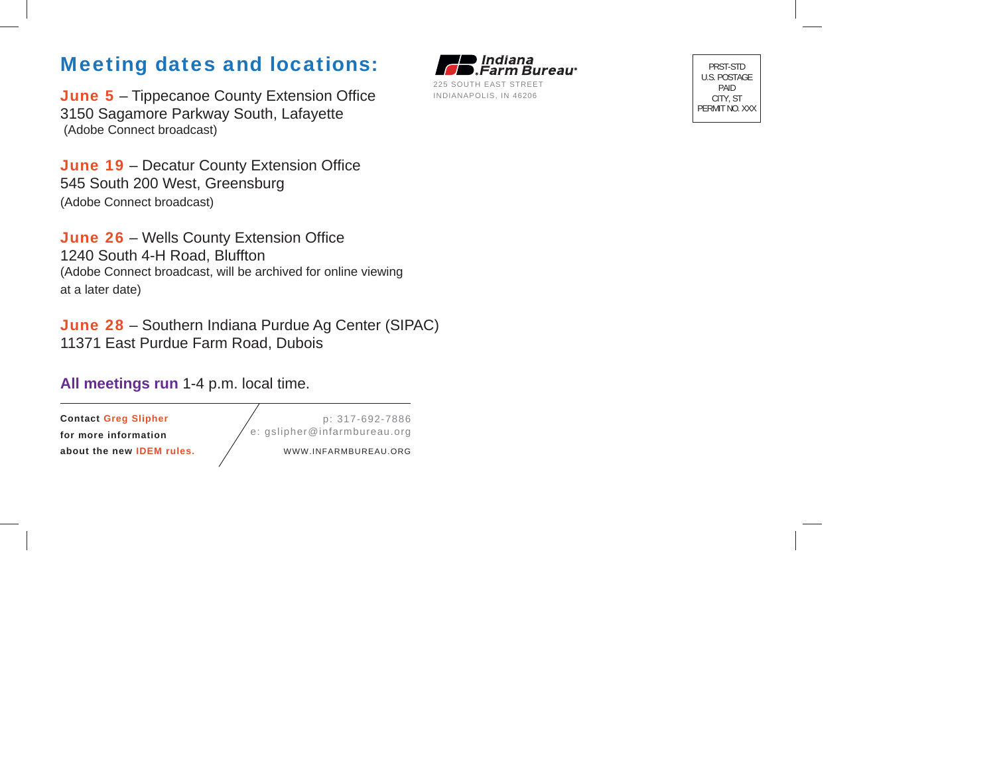## Meeting dates and locations:

June 5 – Tippecanoe County Extension Office 3150 Sagamore Parkway South, Lafayette (Adobe Connect broadcast)

June 19 - Decatur County Extension Office 545 South 200 West, Greensburg (Adobe Connect broadcast)

June 26 – Wells County Extension Office 1240 South 4-H Road, Bluffton (Adobe Connect broadcast, will be archived for online viewing at a later date)

June 28 – Southern Indiana Purdue Ag Center (SIPAC) 11371 East Purdue Farm Road, Dubois

## **All meetings run** 1-4 p.m. local time.

**Contact Greg Slipher for more information about the new IDEM rules.** 

p: 317-692-7886 e: gslipher@infarmbureau.org

WWW.INFARMBUREAU.ORG

l Indiana Farm Bureau<sup>.</sup> 225 SOUTH EAST STREETINDIANAPOLIS, IN 46206